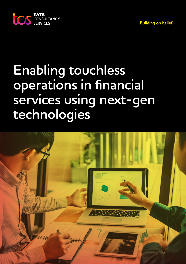**Building on belief** 



# **Enabling touchless operations in financial services using next-gen technologies**

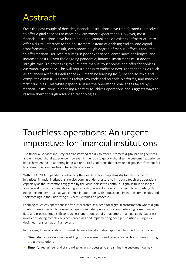# Abstract

Over the past couple of decades, financial institutions have transformed themselves to offer digital services to meet new customer expectations. However, most financial institutions have bolted on digital capabilities on existing infrastructure to offer a digital interface to their customers instead of enabling end-to-end digital transformation. As a result, even today, a high degree of manual effort is required to offer financial services resulting in poor experience, compliance challenges, and increased costs. Given the ongoing pandemic, financial institutions must adopt straight-through processing to eliminate manual touchpoints and offer frictionless customer experience. This will require banks to embrace next-gen technologies such as advanced artificial intelligence (AI), machine learning (ML), speech-to-text, and computer vision (CV) as well as adopt low code and no code platforms, and machinefirst principles. This white paper discusses the operational challenges faced by financial institutions in enabling a shift to touchless operations and suggests ways to resolve them through advanced technologies.

### Touchless operations: An urgent imperative for financial institutions

The financial services industry has transformed rapidly to offer customers digital banking services and enhanced digital experience. However, in the rush to quickly digitalize the customer experience, banks have ended up adopting band-aid or quick fix solutions that provide a digital interface but fail to address the complexities in back-office processes.

With the COVID-19 pandemic advancing the deadlines for completing digital transformation initiatives, financial institutions are also coming under pressure to introduce touchless operations, especially as the restrictions triggered by the virus look set to continue. Digital is thus no longer a value addition but a mandatory upgrade to stay relevant among customers. Accomplishing this needs technology-driven advancements in operations with a focus on eliminating complexities and shortcomings in the underlying business systems and processes.

Enabling touchless operations is often interpreted as a need for digital transformation where digital solutions are expected to convert a paper-dominated process to a completely digitalized flow of data and process. But a shift to touchless operations entails much more than just going paperless—it involves studying complex business processes and implementing next gen solutions using a welldesigned transformation framework.

In our view, financial institutions must define a transformation approach founded on four pillars:

- **Eliminate:** remove non-value adding process elements and reduce transaction volumes through proactive solutions.
- **Simplify:** reengineer and standardize legacy processes to streamline the customer journey.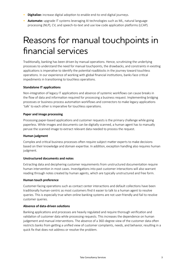- **Digitalize:** increase digital adoption to enable end-to-end digital journeys.
- **Automate:** upgrade IT systems leveraging AI technologies such as ML, natural language processing (NLP), CV, and speech-to-text and use low code application platforms (LCAP).

### Reasons for manual touchpoints in financial services

Traditionally, banking has been driven by manual operations. Hence, scrutinizing the underlying processes to understand the need for manual touchpoints, the drawbacks, and constraints in existing applications is imperative to identify the potential roadblocks in the journey toward touchless operations. In our experience of working with global financial institutions, banks face critical impediments in transitioning to touchless operations.

#### **Standalone IT applications**

Non-integration of legacy IT applications and absence of systemic workflows can cause breaks in the flow of data and information required for processing a business request. Implementing bridging processes or business process automation workflows and connectors to make legacy applications 'talk' to each other is imperative for touchless operations.

#### **Paper and image processing**

Processing paper-based applications and customer requests is the primary challenge while going paperless. While images and documents can be digitally scanned, a human agent has to manually peruse the scanned image to extract relevant data needed to process the request.

#### **Human judgment**

Complex and critical business processes often require subject matter experts to make decisions based on their knowledge and domain expertise. In addition, exception handling also requires human judgment.

#### **Unstructured documents and notes**

Extracting data and deciphering customer requirements from unstructured documentation require human intervention in most cases. Investigations into past customer interactions will also warrant reading through notes created by human agents, which are typically unstructured and free form.

#### **Human touch preference**

Customer-facing operations such as contact center interactions and default collections have been traditionally human-centric as most customers find it easier to talk to a human agent to resolve queries. This is especially true when online banking systems are not user-friendly and fail to resolve customer queries.

#### **Absence of data-driven solutions**

Banking applications and processes are heavily regulated and require thorough verification and validation of customer data while processing requests. This increases the dependence on human judgement and manual interventions. The absence of a 360-degree view of the customer data often restricts banks from getting a unified view of customer complaints, needs, and behavior, resulting in a quick fix that does not address or resolve the problem.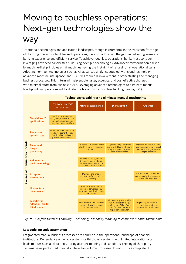# Moving to touchless operations: Next-gen technologies show the way

Traditional technologies and application landscapes, though instrumental in the transition from age old banking operations to IT backed operations, have not addressed the gaps in delivering seamless banking experience and efficient service. To achieve touchless operations, banks must consider leveraging advanced capabilities built using next-gen technologies. Advanced transformation backed by machine-first principles entail machines having the first right of refusal for all operational tasks. Adopting next-gen technologies such as AI, advanced analytics coupled with cloud technology, advanced machine intelligence, and LCAP, will reduce IT involvement in orchestrating and managing business processes. This in turn will help enable faster, accurate, and cost effective changes with minimal effort from business SMEs. Leveraging advanced technologies to eliminate manual touchpoints in operations will facilitate the transition to touchless banking (see Figure1).



*Figure 1: Shift to touchless banking - Technology capability mapping to eliminate manual touchpoints* 

### **Low code, no code automation**

Fragmented manual business processes are common in the operational landscape of financial institutions. Dependence on legacy systems or third-party systems with limited integration often leads to tasks such as data entry during account-opening and sanction-screening of third party systems being performed manually. These low volume processes do not justify a complete IT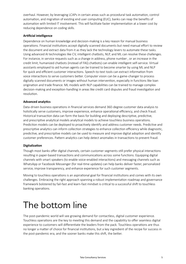overhaul. However, by leveraging LCAPs in certain areas such as procedural task automation, control automation, and migration of existing end user computing (EUC), banks can reap the benefits of automation with limited IT involvement. This will facilitate faster implementation at a lower cost by reducing dependence on coding skills.

#### **Artificial intelligence**

Dependence on human knowledge and decision-making is a key reason for manual business operations. Financial institutions accept digitally scanned documents but need manual effort to review the document and extract data from it as they lack the technology levers to automate these tasks. Using advanced AI technologies like CV, intelligent chatbots, NLP, and ML can resolve these challenges. For instance, in service requests such as a change in address, phone number , or an increase in the credit limit, humanized chatbots (instead of FAQ chatbots) can enable intelligent self-service. Virtual assistants employed to aid human agents can be trained to become smarter by using ML and NLP for quick and efficient customer interactions. Speech-to-text tools can extract information from voice interactions to serve customers better. Computer vision can be a game-changer to process digitally scanned documents or images without human intervention, especially in functions like loan origination and trade finance. ML models with NLP capabilities can be trained to manage complex decision-making and exception-handling in areas like credit card disputes and fraud investigation and resolution.

#### **Advanced analytics**

Data-driven business operations in financial services demand 360-degree customer data analysis to holistically serve customers, improve experience, enhance operational efficiency, and check fraud. Historical transaction data can form the basis for building and deploying descriptive, predictive, and prescriptive analytical models analytical models to achieve touchless business operations. Prediction models can be deployed to proactively identify and address customer needs. Predictive and prescriptive analytics can inform collection strategies to enhance collection efficiency while diagnostic, predictive, and prescriptive models can be used to measure and improve digital adoption and identify customer preferences. Pattern analytics can help detect anomalies in transactions to prevent fraud.

#### **Digitalization**

Though most banks offer digital channels, certain customer segments still prefer physical interactions resulting in paper-based transactions and communications across some functions. Equipping digital channels with smart speakers (to enable voice-enabled interactions) and messaging channels such as WhatsApp or Facebook Messenger (for real-time updates) can help banks deliver faster, personalized service, improve transparency, and enhance experience for such customer segments.

Moving to touchless operations is an aspirational goal for financial institutions and comes with its own challenges. Embracing the right approach spanning a robust implementation roadmap and governance framework bolstered by fail-fast and learn-fast mindset is critical to a successful shift to touchless banking operations.

### The bottom line

The post-pandemic world will see growing demand for contactless, digital customer experience. Touchless operations are the key to meeting this demand and the capability to offer seamless digital experience to customers will differentiate the leaders from the pack. Touchless operations are thus no longer a matter of choice for financial institutions, but a key ingredient of the recipe for success in the post-pandemic era, and the sooner banks make this shift, the better.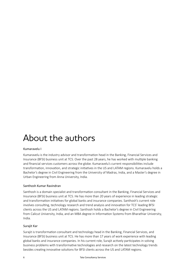### About the authors

### Kumaravelu I

Kumaravelu is the industry advisor and transformation head in the Banking, Financial Services and Insurance (BFSI) business unit at TCS. Over the past 28 years, he has worked with multiple banking and financial services customers across the globe. Kumaravelu's current responsibilities include transformation, innovation, and strategic initiatives in the US and LATAM regions. Kumaravelu holds a Bachelor's degree in Civil Engineering from the University of Madras, India, and a Master's degree in Urban Engineering from Anna University, India.

#### Santhosh Kumar Ravindran

Santhosh is a domain specialist and transformation consultant in the Banking, Financial Services and Insurance (BFSI) business unit at TCS. He has more than 20 years of experience in leading strategic and transformation initiatives for global banks and insurance companies. Santhosh's current role involves consulting, technology research and trend analysis and innovation for TCS' leading BFSI clients across the US and LATAM regions. Santhosh holds a Bachelor's degree in Civil Engineering from Calicut University, India, and an MBA degree in Information Systems from Bharathiar University, India.

#### Surajit Kar

Surajit is transformation consultant and technology head in the Banking, Financial Services, and Insurance (BFSI) business unit at TCS. He has more than 17 years of work experience with leading global banks and insurance companies. In his current role, Surajit actively participates in solving business problems with transformative technologies and research on the latest technology trends besides creating innovative solutions for BFSI clients across the US and LATAM regions.